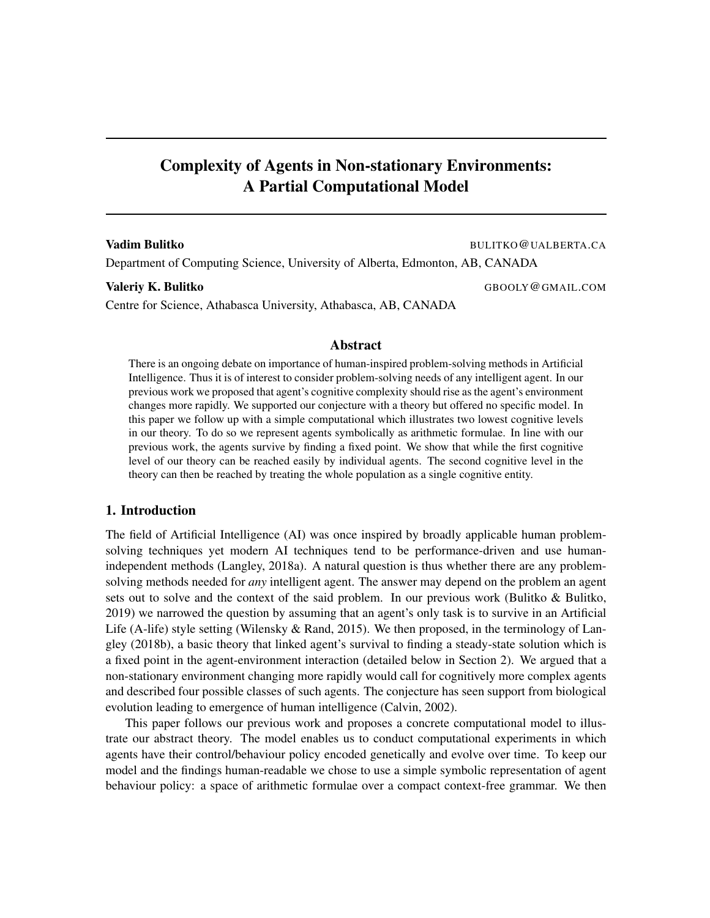# Complexity of Agents in Non-stationary Environments: A Partial Computational Model

### **Vadim Bulitko** BULITKO@UALBERTA.CA

Department of Computing Science, University of Alberta, Edmonton, AB, CANADA

Centre for Science, Athabasca University, Athabasca, AB, CANADA

Valeriy K. Bulitko GBOOLY @GMAIL.COM

#### Abstract

There is an ongoing debate on importance of human-inspired problem-solving methods in Artificial Intelligence. Thus it is of interest to consider problem-solving needs of any intelligent agent. In our previous work we proposed that agent's cognitive complexity should rise as the agent's environment changes more rapidly. We supported our conjecture with a theory but offered no specific model. In this paper we follow up with a simple computational which illustrates two lowest cognitive levels in our theory. To do so we represent agents symbolically as arithmetic formulae. In line with our previous work, the agents survive by finding a fixed point. We show that while the first cognitive level of our theory can be reached easily by individual agents. The second cognitive level in the theory can then be reached by treating the whole population as a single cognitive entity.

# 1. Introduction

The field of Artificial Intelligence (AI) was once inspired by broadly applicable human problemsolving techniques yet modern AI techniques tend to be performance-driven and use humanindependent methods (Langley, 2018a). A natural question is thus whether there are any problemsolving methods needed for *any* intelligent agent. The answer may depend on the problem an agent sets out to solve and the context of the said problem. In our previous work (Bulitko & Bulitko, 2019) we narrowed the question by assuming that an agent's only task is to survive in an Artificial Life (A-life) style setting (Wilensky & Rand, 2015). We then proposed, in the terminology of Langley (2018b), a basic theory that linked agent's survival to finding a steady-state solution which is a fixed point in the agent-environment interaction (detailed below in Section 2). We argued that a non-stationary environment changing more rapidly would call for cognitively more complex agents and described four possible classes of such agents. The conjecture has seen support from biological evolution leading to emergence of human intelligence (Calvin, 2002).

This paper follows our previous work and proposes a concrete computational model to illustrate our abstract theory. The model enables us to conduct computational experiments in which agents have their control/behaviour policy encoded genetically and evolve over time. To keep our model and the findings human-readable we chose to use a simple symbolic representation of agent behaviour policy: a space of arithmetic formulae over a compact context-free grammar. We then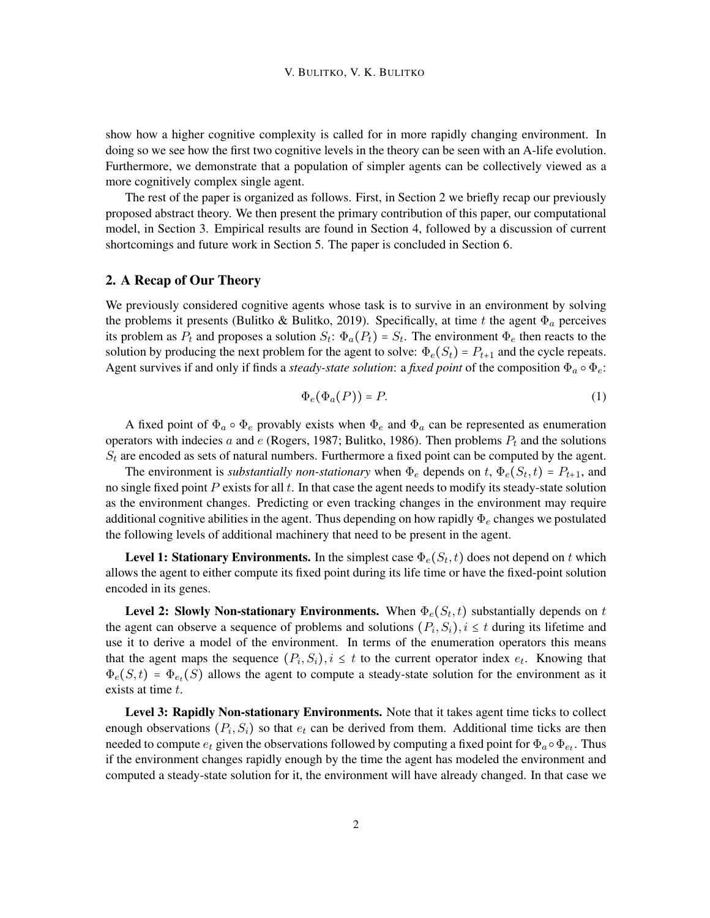show how a higher cognitive complexity is called for in more rapidly changing environment. In doing so we see how the first two cognitive levels in the theory can be seen with an A-life evolution. Furthermore, we demonstrate that a population of simpler agents can be collectively viewed as a more cognitively complex single agent.

The rest of the paper is organized as follows. First, in Section 2 we briefly recap our previously proposed abstract theory. We then present the primary contribution of this paper, our computational model, in Section 3. Empirical results are found in Section 4, followed by a discussion of current shortcomings and future work in Section 5. The paper is concluded in Section 6.

# 2. A Recap of Our Theory

We previously considered cognitive agents whose task is to survive in an environment by solving the problems it presents (Bulitko & Bulitko, 2019). Specifically, at time t the agent  $\Phi_a$  perceives its problem as  $P_t$  and proposes a solution  $S_t$ :  $\Phi_a(P_t) = S_t$ . The environment  $\Phi_e$  then reacts to the solution by producing the next problem for the agent to solve:  $\Phi_e(S_t) = P_{t+1}$  and the cycle repeats. Agent survives if and only if finds a *steady-state solution*: a *fixed point* of the composition  $\Phi_a \circ \Phi_e$ :

$$
\Phi_e(\Phi_a(P)) = P. \tag{1}
$$

A fixed point of  $\Phi_a \circ \Phi_e$  provably exists when  $\Phi_e$  and  $\Phi_a$  can be represented as enumeration operators with indecies a and e (Rogers, 1987; Bulitko, 1986). Then problems  $P_t$  and the solutions  $S_t$  are encoded as sets of natural numbers. Furthermore a fixed point can be computed by the agent.

The environment is *substantially non-stationary* when  $\Phi_e$  depends on  $t$ ,  $\Phi_e(S_t, t) = P_{t+1}$ , and no single fixed point  $P$  exists for all  $t$ . In that case the agent needs to modify its steady-state solution as the environment changes. Predicting or even tracking changes in the environment may require additional cognitive abilities in the agent. Thus depending on how rapidly  $\Phi_e$  changes we postulated the following levels of additional machinery that need to be present in the agent.

**Level 1: Stationary Environments.** In the simplest case  $\Phi_e(S_t, t)$  does not depend on t which allows the agent to either compute its fixed point during its life time or have the fixed-point solution encoded in its genes.

**Level 2: Slowly Non-stationary Environments.** When  $\Phi_e(S_t, t)$  substantially depends on t the agent can observe a sequence of problems and solutions  $(P_i, S_i)$ ,  $i \leq t$  during its lifetime and use it to derive a model of the environment. In terms of the enumeration operators this means that the agent maps the sequence  $(P_i, S_i)$ ,  $i \leq t$  to the current operator index  $e_t$ . Knowing that  $\Phi_e(S,t) = \Phi_{e_t}(S)$  allows the agent to compute a steady-state solution for the environment as it exists at time t.

Level 3: Rapidly Non-stationary Environments. Note that it takes agent time ticks to collect enough observations  $(P_i, S_i)$  so that  $e_t$  can be derived from them. Additional time ticks are then needed to compute  $e_t$  given the observations followed by computing a fixed point for  $\Phi_a \circ \Phi_{e_t}$ . Thus if the environment changes rapidly enough by the time the agent has modeled the environment and computed a steady-state solution for it, the environment will have already changed. In that case we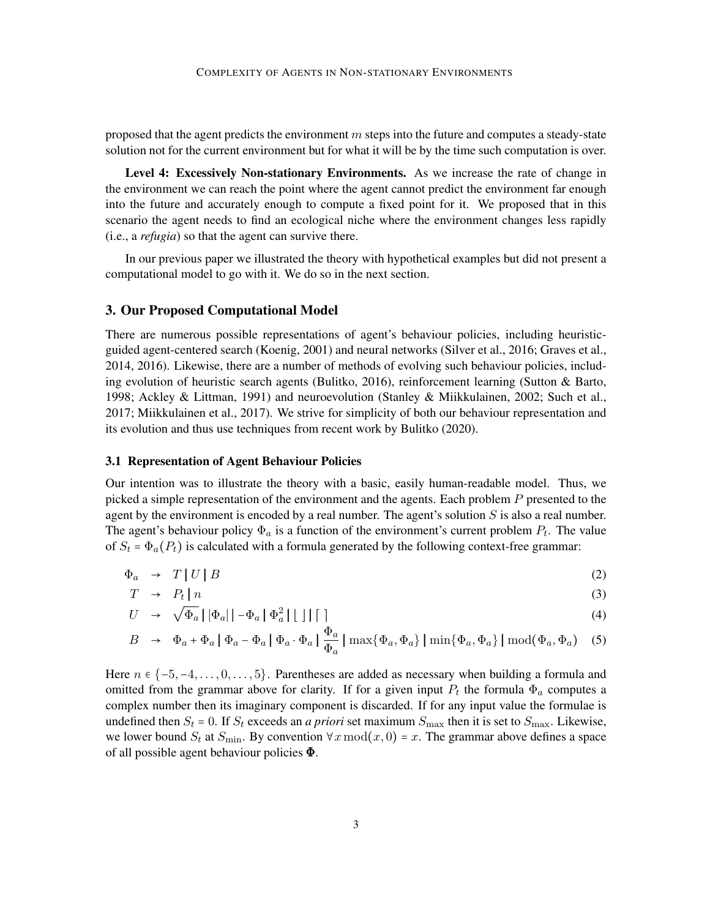proposed that the agent predicts the environment  $m$  steps into the future and computes a steady-state solution not for the current environment but for what it will be by the time such computation is over.

Level 4: Excessively Non-stationary Environments. As we increase the rate of change in the environment we can reach the point where the agent cannot predict the environment far enough into the future and accurately enough to compute a fixed point for it. We proposed that in this scenario the agent needs to find an ecological niche where the environment changes less rapidly (i.e., a *refugia*) so that the agent can survive there.

In our previous paper we illustrated the theory with hypothetical examples but did not present a computational model to go with it. We do so in the next section.

#### 3. Our Proposed Computational Model

There are numerous possible representations of agent's behaviour policies, including heuristicguided agent-centered search (Koenig, 2001) and neural networks (Silver et al., 2016; Graves et al., 2014, 2016). Likewise, there are a number of methods of evolving such behaviour policies, including evolution of heuristic search agents (Bulitko, 2016), reinforcement learning (Sutton & Barto, 1998; Ackley & Littman, 1991) and neuroevolution (Stanley & Miikkulainen, 2002; Such et al., 2017; Miikkulainen et al., 2017). We strive for simplicity of both our behaviour representation and its evolution and thus use techniques from recent work by Bulitko (2020).

#### 3.1 Representation of Agent Behaviour Policies

Our intention was to illustrate the theory with a basic, easily human-readable model. Thus, we picked a simple representation of the environment and the agents. Each problem  $P$  presented to the agent by the environment is encoded by a real number. The agent's solution  $S$  is also a real number. The agent's behaviour policy  $\Phi_a$  is a function of the environment's current problem  $P_t$ . The value of  $S_t = \Phi_a(P_t)$  is calculated with a formula generated by the following context-free grammar:

$$
\Phi_a \rightarrow T | U | B \tag{2}
$$

$$
T \rightarrow P_t \mid n \tag{3}
$$

$$
U \rightarrow \sqrt{\Phi_a} \left[ |\Phi_a| \left| -\Phi_a \left| \Phi_a^2 \right| \right| \right] | \left| \right| \right] \tag{4}
$$

$$
B \rightarrow \Phi_a + \Phi_a \mid \Phi_a - \Phi_a \mid \Phi_a \cdot \Phi_a \mid \frac{\Phi_a}{\Phi_a} \mid \max\{\Phi_a, \Phi_a\} \mid \min\{\Phi_a, \Phi_a\} \mid \text{mod}(\Phi_a, \Phi_a) \quad (5)
$$

Here  $n \in \{-5, -4, \ldots, 0, \ldots, 5\}$ . Parentheses are added as necessary when building a formula and omitted from the grammar above for clarity. If for a given input  $P_t$  the formula  $\Phi_a$  computes a complex number then its imaginary component is discarded. If for any input value the formulae is undefined then  $S_t = 0$ . If  $S_t$  exceeds an *a priori* set maximum  $S_{\text{max}}$  then it is set to  $S_{\text{max}}$ . Likewise, we lower bound  $S_t$  at  $S_{\text{min}}$ . By convention  $\forall x \mod (x, 0) = x$ . The grammar above defines a space of all possible agent behaviour policies Φ.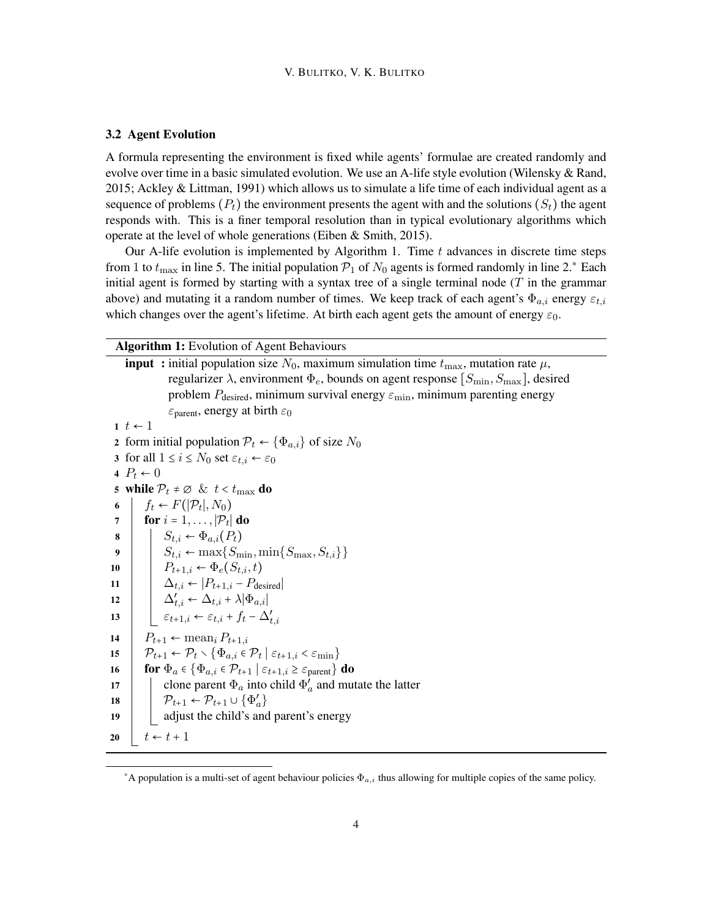#### 3.2 Agent Evolution

A formula representing the environment is fixed while agents' formulae are created randomly and evolve over time in a basic simulated evolution. We use an A-life style evolution (Wilensky & Rand, 2015; Ackley & Littman, 1991) which allows us to simulate a life time of each individual agent as a sequence of problems  $(P_t)$  the environment presents the agent with and the solutions  $(S_t)$  the agent responds with. This is a finer temporal resolution than in typical evolutionary algorithms which operate at the level of whole generations (Eiben & Smith, 2015).

Our A-life evolution is implemented by Algorithm 1. Time  $t$  advances in discrete time steps from 1 to  $t_{\text{max}}$  in line 5. The initial population  $\mathcal{P}_1$  of  $N_0$  agents is formed randomly in line 2.\* Each initial agent is formed by starting with a syntax tree of a single terminal node  $(T$  in the grammar above) and mutating it a random number of times. We keep track of each agent's  $\Phi_{a,i}$  energy  $\varepsilon_{t,i}$ which changes over the agent's lifetime. At birth each agent gets the amount of energy  $\varepsilon_0$ .

Algorithm 1: Evolution of Agent Behaviours

<sup>\*</sup>A population is a multi-set of agent behaviour policies  $\Phi_{a,i}$  thus allowing for multiple copies of the same policy.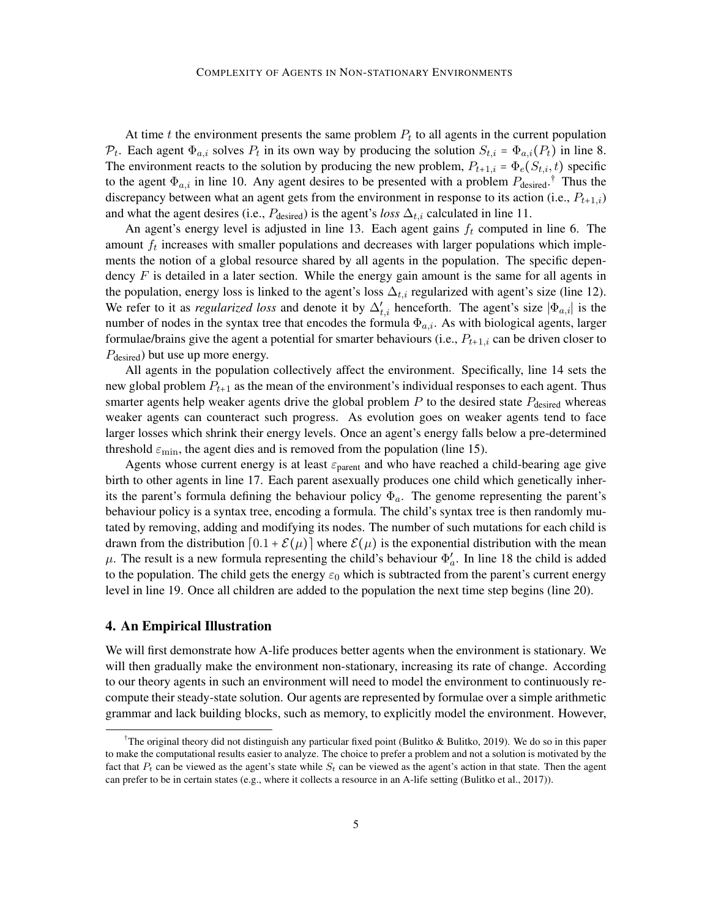At time  $t$  the environment presents the same problem  $P_t$  to all agents in the current population  $\mathcal{P}_t$ . Each agent  $\Phi_{a,i}$  solves  $P_t$  in its own way by producing the solution  $S_{t,i} = \Phi_{a,i}(P_t)$  in line 8. The environment reacts to the solution by producing the new problem,  $P_{t+1,i} = \Phi_e(S_{t,i}, t)$  specific to the agent  $\Phi_{a,i}$  in line 10. Any agent desires to be presented with a problem  $P_{\text{desired}}$ .<sup>†</sup> Thus the discrepancy between what an agent gets from the environment in response to its action (i.e.,  $P_{t+1,i}$ ) and what the agent desires (i.e.,  $P_{\text{desired}}$ ) is the agent's *loss*  $\Delta_{t,i}$  calculated in line 11.

An agent's energy level is adjusted in line 13. Each agent gains  $f_t$  computed in line 6. The amount  $f_t$  increases with smaller populations and decreases with larger populations which implements the notion of a global resource shared by all agents in the population. The specific dependency  $F$  is detailed in a later section. While the energy gain amount is the same for all agents in the population, energy loss is linked to the agent's loss  $\Delta_{t,i}$  regularized with agent's size (line 12). We refer to it as *regularized loss* and denote it by  $\Delta'_{t,i}$  henceforth. The agent's size  $|\Phi_{a,i}|$  is the number of nodes in the syntax tree that encodes the formula  $\Phi_{a,i}$ . As with biological agents, larger formulae/brains give the agent a potential for smarter behaviours (i.e.,  $P_{t+1,i}$  can be driven closer to  $P_{\text{desired}}$ ) but use up more energy.

All agents in the population collectively affect the environment. Specifically, line 14 sets the new global problem  $P_{t+1}$  as the mean of the environment's individual responses to each agent. Thus smarter agents help weaker agents drive the global problem  $P$  to the desired state  $P_{\text{desired}}$  whereas weaker agents can counteract such progress. As evolution goes on weaker agents tend to face larger losses which shrink their energy levels. Once an agent's energy falls below a pre-determined threshold  $\varepsilon_{\min}$ , the agent dies and is removed from the population (line 15).

Agents whose current energy is at least  $\varepsilon_{\text{parent}}$  and who have reached a child-bearing age give birth to other agents in line 17. Each parent asexually produces one child which genetically inherits the parent's formula defining the behaviour policy  $\Phi_a$ . The genome representing the parent's behaviour policy is a syntax tree, encoding a formula. The child's syntax tree is then randomly mutated by removing, adding and modifying its nodes. The number of such mutations for each child is drawn from the distribution  $[0.1 + \mathcal{E}(\mu)]$  where  $\mathcal{E}(\mu)$  is the exponential distribution with the mean  $\mu$ . The result is a new formula representing the child's behaviour  $\Phi'_a$ . In line 18 the child is added to the population. The child gets the energy  $\varepsilon_0$  which is subtracted from the parent's current energy level in line 19. Once all children are added to the population the next time step begins (line 20).

# 4. An Empirical Illustration

We will first demonstrate how A-life produces better agents when the environment is stationary. We will then gradually make the environment non-stationary, increasing its rate of change. According to our theory agents in such an environment will need to model the environment to continuously recompute their steady-state solution. Our agents are represented by formulae over a simple arithmetic grammar and lack building blocks, such as memory, to explicitly model the environment. However,

<sup>&</sup>lt;sup>†</sup>The original theory did not distinguish any particular fixed point (Bulitko & Bulitko, 2019). We do so in this paper to make the computational results easier to analyze. The choice to prefer a problem and not a solution is motivated by the fact that  $P_t$  can be viewed as the agent's state while  $S_t$  can be viewed as the agent's action in that state. Then the agent can prefer to be in certain states (e.g., where it collects a resource in an A-life setting (Bulitko et al., 2017)).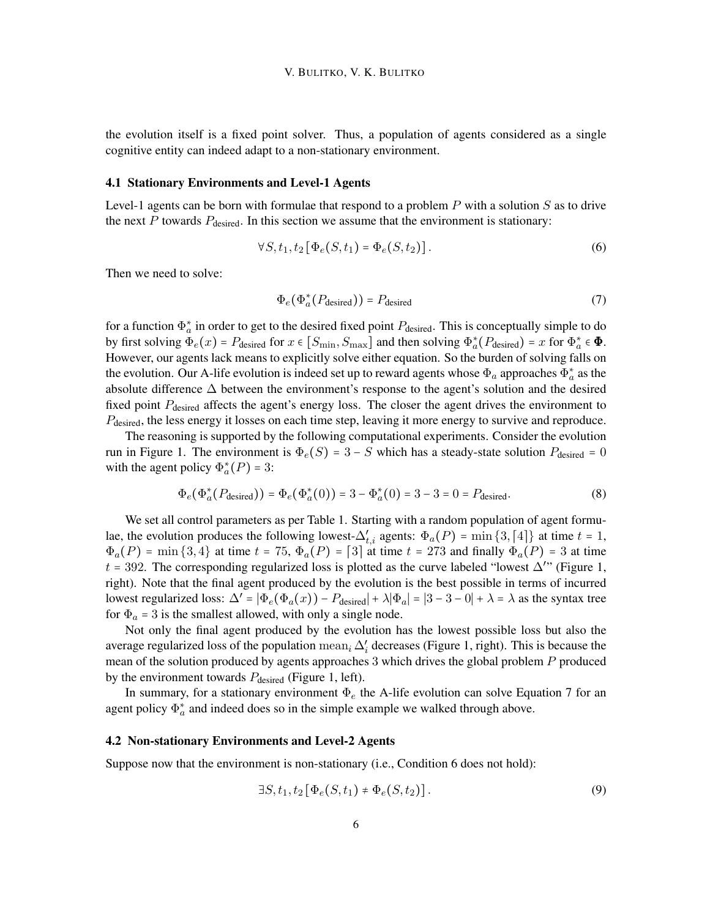the evolution itself is a fixed point solver. Thus, a population of agents considered as a single cognitive entity can indeed adapt to a non-stationary environment.

#### 4.1 Stationary Environments and Level-1 Agents

Level-1 agents can be born with formulae that respond to a problem  $P$  with a solution  $S$  as to drive the next  $P$  towards  $P_{\text{desired}}$ . In this section we assume that the environment is stationary:

$$
\forall S, t_1, t_2 \left[ \Phi_e(S, t_1) = \Phi_e(S, t_2) \right]. \tag{6}
$$

Then we need to solve:

$$
\Phi_e(\Phi_a^*(P_{\text{desired}})) = P_{\text{desired}} \tag{7}
$$

for a function  $\Phi_a^*$  in order to get to the desired fixed point  $P_{\text{desired}}$ . This is conceptually simple to do by first solving  $\Phi_e(x) = P_{\text{desired}}$  for  $x \in [S_{\min}, S_{\max}]$  and then solving  $\Phi_a^*(P_{\text{desired}}) = x$  for  $\Phi_a^* \in \Phi$ . However, our agents lack means to explicitly solve either equation. So the burden of solving falls on the evolution. Our A-life evolution is indeed set up to reward agents whose  $\Phi_a$  approaches  $\Phi_a^*$  as the absolute difference ∆ between the environment's response to the agent's solution and the desired fixed point  $P_{\text{desired}}$  affects the agent's energy loss. The closer the agent drives the environment to P<sub>desired</sub>, the less energy it losses on each time step, leaving it more energy to survive and reproduce.

The reasoning is supported by the following computational experiments. Consider the evolution run in Figure 1. The environment is  $\Phi_e(S) = 3 - S$  which has a steady-state solution  $P_{\text{desired}} = 0$ with the agent policy  $\Phi_a^*(P) = 3$ :

$$
\Phi_e(\Phi_a^*(P_{\text{desired}})) = \Phi_e(\Phi_a^*(0)) = 3 - \Phi_a^*(0) = 3 - 3 = 0 = P_{\text{desired}}.
$$
\n(8)

We set all control parameters as per Table 1. Starting with a random population of agent formulae, the evolution produces the following lowest- $\Delta'_{t,i}$  agents:  $\Phi_a(P) = \min\{3, [4]\}$  at time  $t = 1$ ,  $\Phi_a(P)$  = min {3,4} at time  $t = 75$ ,  $\Phi_a(P) = 3$  at time  $t = 273$  and finally  $\Phi_a(P) = 3$  at time  $t = 392$ . The corresponding regularized loss is plotted as the curve labeled "lowest  $\Delta$ " (Figure 1, right). Note that the final agent produced by the evolution is the best possible in terms of incurred lowest regularized loss:  $\Delta' = |\Phi_e(\Phi_a(x)) - P_{\text{desired}}| + \lambda |\Phi_a| = |3 - 3 - 0| + \lambda = \lambda$  as the syntax tree for  $\Phi_a = 3$  is the smallest allowed, with only a single node.

Not only the final agent produced by the evolution has the lowest possible loss but also the average regularized loss of the population  $\text{mean}_i \Delta'_i$  decreases (Figure 1, right). This is because the mean of the solution produced by agents approaches 3 which drives the global problem P produced by the environment towards  $P_{\text{desired}}$  (Figure 1, left).

In summary, for a stationary environment  $\Phi_e$  the A-life evolution can solve Equation 7 for an agent policy  $\Phi_a^*$  and indeed does so in the simple example we walked through above.

#### 4.2 Non-stationary Environments and Level-2 Agents

Suppose now that the environment is non-stationary (i.e., Condition 6 does not hold):

$$
\exists S, t_1, t_2 \left[ \Phi_e(S, t_1) \neq \Phi_e(S, t_2) \right]. \tag{9}
$$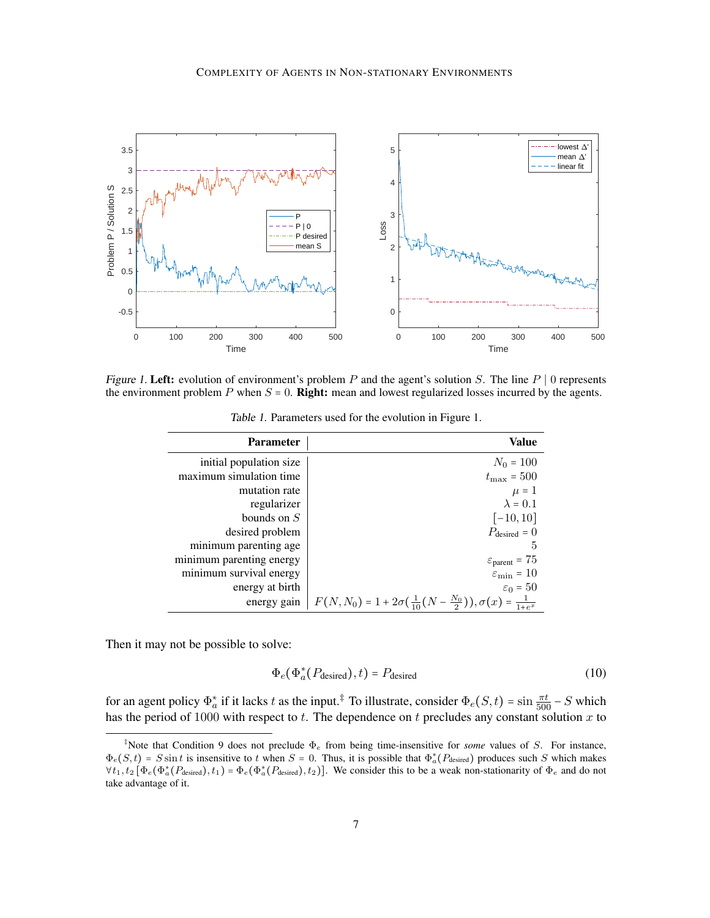

Figure 1. Left: evolution of environment's problem P and the agent's solution S. The line  $P \mid 0$  represents the environment problem  $P$  when  $S = 0$ . **Right:** mean and lowest regularized losses incurred by the agents.

| <b>Parameter</b>         | <b>Value</b>                                                                              |
|--------------------------|-------------------------------------------------------------------------------------------|
| initial population size  | $N_0 = 100$                                                                               |
| maximum simulation time  | $t_{\rm max} = 500$                                                                       |
| mutation rate            | $\mu = 1$                                                                                 |
| regularizer              | $\lambda = 0.1$                                                                           |
| bounds on $S$            | $[-10, 10]$                                                                               |
| desired problem          | $P_{\text{desired}} = 0$                                                                  |
| minimum parenting age    | 5                                                                                         |
| minimum parenting energy | $\varepsilon_{\text{parent}} = 75$                                                        |
| minimum survival energy  | $\varepsilon_{\min} = 10$                                                                 |
| energy at birth          | $\varepsilon_0 = 50$                                                                      |
| energy gain              | $F(N, N_0) = 1 + 2\sigma(\frac{1}{10}(N - \frac{N_0}{2})), \sigma(x) = \frac{1}{1 + e^x}$ |

Table 1. Parameters used for the evolution in Figure 1.

Then it may not be possible to solve:

$$
\Phi_e(\Phi_a^*(P_{\text{desired}}), t) = P_{\text{desired}}
$$
\n(10)

for an agent policy  $\Phi_a^*$  if it lacks t as the input.<sup>‡</sup> To illustrate, consider  $\Phi_e(S, t) = \sin \frac{\pi t}{500} - S$  which has the period of 1000 with respect to t. The dependence on t precludes any constant solution x to

<sup>‡</sup>Note that Condition 9 does not preclude Φ<sup>e</sup> from being time-insensitive for *some* values of S. For instance,  $\Phi_e(S,t) = S \sin t$  is insensitive to t when  $S = 0$ . Thus, it is possible that  $\Phi_a^*(P_{\text{desired}})$  produces such S which makes  $\forall t_1, t_2 \left[ \Phi_e(\Phi_a^*(P_{\text{desired}}), t_1) = \Phi_e(\Phi_a^*(P_{\text{desired}}), t_2) \right]$ . We consider this to be a weak non-stationarity of  $\Phi_e$  and do not take advantage of it.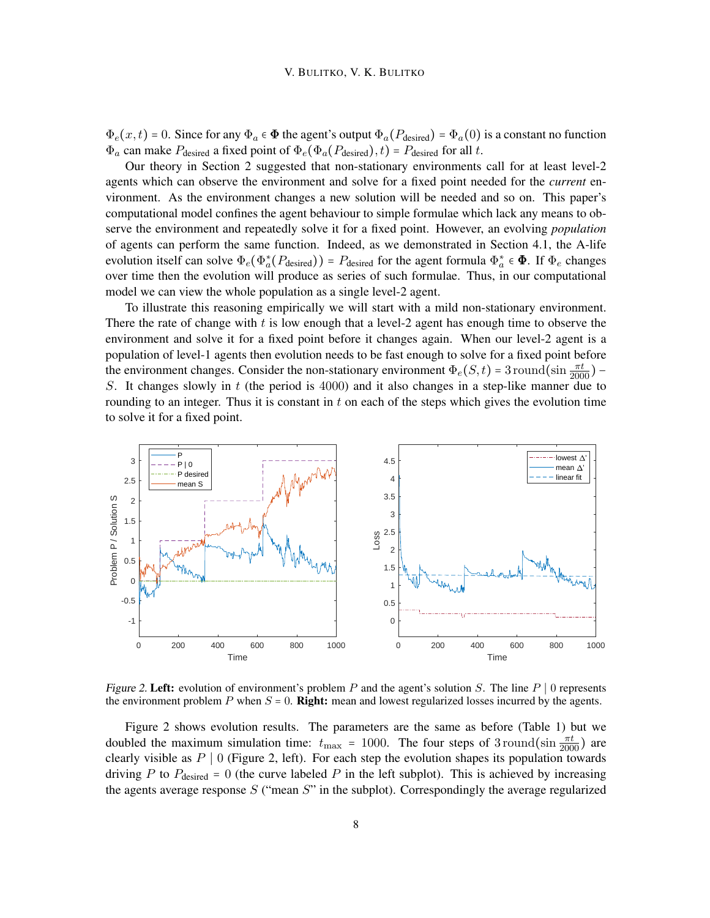$\Phi_e(x,t) = 0$ . Since for any  $\Phi_a \in \Phi$  the agent's output  $\Phi_a(P_{\text{desired}}) = \Phi_a(0)$  is a constant no function  $\Phi_a$  can make  $P_{\text{desired}}$  a fixed point of  $\Phi_e(\Phi_a(P_{\text{desired}}), t) = P_{\text{desired}}$  for all t.

Our theory in Section 2 suggested that non-stationary environments call for at least level-2 agents which can observe the environment and solve for a fixed point needed for the *current* environment. As the environment changes a new solution will be needed and so on. This paper's computational model confines the agent behaviour to simple formulae which lack any means to observe the environment and repeatedly solve it for a fixed point. However, an evolving *population* of agents can perform the same function. Indeed, as we demonstrated in Section 4.1, the A-life evolution itself can solve  $\Phi_e(\Phi_a^*(P_{\text{desired}})) = P_{\text{desired}}$  for the agent formula  $\Phi_a^* \in \Phi$ . If  $\Phi_e$  changes over time then the evolution will produce as series of such formulae. Thus, in our computational model we can view the whole population as a single level-2 agent.

To illustrate this reasoning empirically we will start with a mild non-stationary environment. There the rate of change with  $t$  is low enough that a level-2 agent has enough time to observe the environment and solve it for a fixed point before it changes again. When our level-2 agent is a population of level-1 agents then evolution needs to be fast enough to solve for a fixed point before the environment changes. Consider the non-stationary environment  $\Phi_e(S, t) = 3$  round(sin  $\frac{\pi t}{2000}$ ) – S. It changes slowly in  $t$  (the period is 4000) and it also changes in a step-like manner due to rounding to an integer. Thus it is constant in  $t$  on each of the steps which gives the evolution time to solve it for a fixed point.



Figure 2. Left: evolution of environment's problem P and the agent's solution S. The line  $P \mid 0$  represents the environment problem  $P$  when  $S = 0$ . **Right:** mean and lowest regularized losses incurred by the agents.

Figure 2 shows evolution results. The parameters are the same as before (Table 1) but we doubled the maximum simulation time:  $t_{\text{max}} = 1000$ . The four steps of 3 round(sin  $\frac{\pi t}{2000}$ ) are clearly visible as  $P \mid 0$  (Figure 2, left). For each step the evolution shapes its population towards driving P to  $P_{\text{desired}} = 0$  (the curve labeled P in the left subplot). This is achieved by increasing the agents average response  $S$  ("mean  $S$ " in the subplot). Correspondingly the average regularized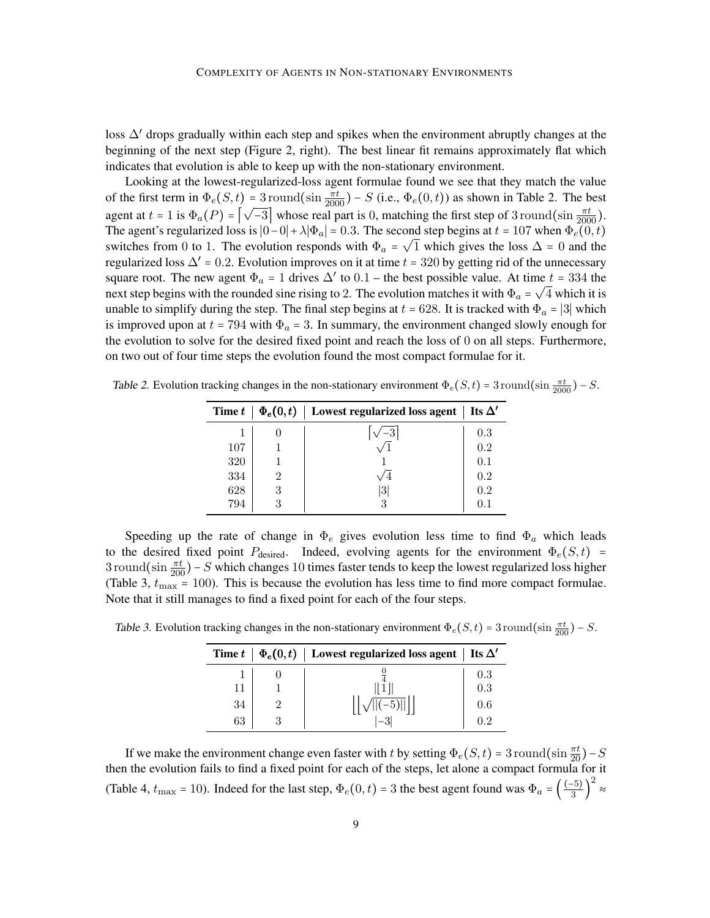loss ∆' drops gradually within each step and spikes when the environment abruptly changes at the beginning of the next step (Figure 2, right). The best linear fit remains approximately flat which indicates that evolution is able to keep up with the non-stationary environment.

Looking at the lowest-regularized-loss agent formulae found we see that they match the value of the first term in  $\Phi_e(S, t) = 3$  round(sin  $\frac{\pi t}{2000}$ ) – S (i.e.,  $\Phi_e(0, t)$ ) as shown in Table 2. The best agent at  $t = 1$  is  $\Phi_a(P) = \left[\sqrt{-3}\right]$  whose real part is 0, matching the first step of 3 round(sin  $\frac{\pi t}{2000}$ ). The agent's regularized loss is  $|0-0| + \lambda |\Phi_a| = 0.3$ . The second step begins at  $t = 107$  when  $\Phi_e(0, t)$ switches from 0 to 1. The evolution responds with  $\Phi_a = \sqrt{1}$  which gives the loss  $\Delta = 0$  and the regularized loss  $\Delta' = 0.2$ . Evolution improves on it at time  $t = 320$  by getting rid of the unnecessary square root. The new agent  $\Phi_a = 1$  drives  $\Delta'$  to  $0.1$  – the best possible value. At time  $t = 334$  the next step begins with the rounded sine rising to 2. The evolution matches it with  $\Phi_a = \sqrt{4}$  which it is unable to simplify during the step. The final step begins at  $t = 628$ . It is tracked with  $\Phi_a = |3|$  which is improved upon at  $t = 794$  with  $\Phi_a = 3$ . In summary, the environment changed slowly enough for the evolution to solve for the desired fixed point and reach the loss of 0 on all steps. Furthermore, on two out of four time steps the evolution found the most compact formulae for it.

| Time t | $\mid \Phi_e(0,t) \mid$ Lowest regularized loss agent $\mid$ | Its $\Delta'$ |
|--------|--------------------------------------------------------------|---------------|
|        |                                                              | 0.3           |
| 107    |                                                              | 0.2           |
| 320    |                                                              | 0.1           |
| 334    |                                                              | 0.2           |
| 628    | 3                                                            | 0.2           |
| 794    |                                                              |               |

Table 2. Evolution tracking changes in the non-stationary environment  $\Phi_e(S, t) = 3$  round(sin  $\frac{\pi t}{2000}$ ) – S.

Speeding up the rate of change in  $\Phi_e$  gives evolution less time to find  $\Phi_a$  which leads to the desired fixed point  $P_{\text{desired}}$ . Indeed, evolving agents for the environment  $\Phi_e(S, t)$  =  $3$  round(sin  $\frac{\pi t}{200}$ ) – S which changes 10 times faster tends to keep the lowest regularized loss higher (Table 3,  $t_{\text{max}} = 100$ ). This is because the evolution has less time to find more compact formulae. Note that it still manages to find a fixed point for each of the four steps.

Table 3. Evolution tracking changes in the non-stationary environment  $\Phi_e(S, t) = 3$  round(sin  $\frac{\pi t}{200}$ ) – S.

|    | Time $t \mid \Phi_e(0,t) \mid$ Lowest regularized loss agent   Its $\Delta'$ |     |
|----|------------------------------------------------------------------------------|-----|
|    |                                                                              | 0.3 |
| 11 |                                                                              | 0.3 |
| 34 |                                                                              | 0.6 |
| 63 |                                                                              | 02  |

If we make the environment change even faster with t by setting  $\Phi_e(S, t) = 3$  round(sin  $\frac{\pi t}{20}$ ) – S then the evolution fails to find a fixed point for each of the steps, let alone a compact formula for it (Table 4,  $t_{\text{max}} = 10$ ). Indeed for the last step,  $\Phi_e(0, t) = 3$  the best agent found was  $\Phi_a = \left(\frac{(-5)}{3}\right)^{1/3}$  $\frac{1}{3}$ 2 ≈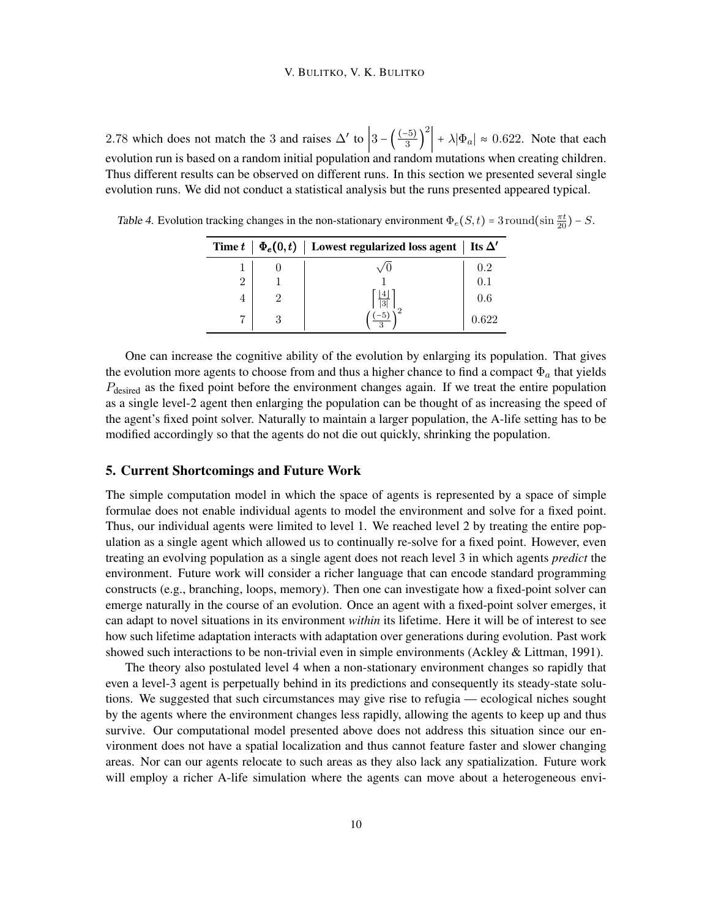#### V. BULITKO, V. K. BULITKO

2.78 which does not match the 3 and raises  $\Delta'$  to  $\left|3 - \left(\frac{(-5)}{3}\right)\right|$  $\overline{3}$ )  $\left| \frac{2}{1 + \lambda |\Phi_a|} \right| \approx 0.622$ . Note that each evolution run is based on a random initial population and random mutations when creating children. Thus different results can be observed on different runs. In this section we presented several single evolution runs. We did not conduct a statistical analysis but the runs presented appeared typical.

|   | Time $t \mid \Phi_e(0,t) \mid$ Lowest regularized loss agent $\mid$ Its $\Delta'$ |       |
|---|-----------------------------------------------------------------------------------|-------|
|   |                                                                                   | 0.2   |
| 2 |                                                                                   | 0.1   |
| 4 | $\overline{3}$                                                                    | 0.6   |
|   |                                                                                   | 0.622 |

Table 4. Evolution tracking changes in the non-stationary environment  $\Phi_e(S, t) = 3$  round(sin  $\frac{\pi t}{20}$ ) – S.

One can increase the cognitive ability of the evolution by enlarging its population. That gives the evolution more agents to choose from and thus a higher chance to find a compact  $\Phi_a$  that yields  $P_{\text{desired}}$  as the fixed point before the environment changes again. If we treat the entire population as a single level-2 agent then enlarging the population can be thought of as increasing the speed of the agent's fixed point solver. Naturally to maintain a larger population, the A-life setting has to be modified accordingly so that the agents do not die out quickly, shrinking the population.

#### 5. Current Shortcomings and Future Work

The simple computation model in which the space of agents is represented by a space of simple formulae does not enable individual agents to model the environment and solve for a fixed point. Thus, our individual agents were limited to level 1. We reached level 2 by treating the entire population as a single agent which allowed us to continually re-solve for a fixed point. However, even treating an evolving population as a single agent does not reach level 3 in which agents *predict* the environment. Future work will consider a richer language that can encode standard programming constructs (e.g., branching, loops, memory). Then one can investigate how a fixed-point solver can emerge naturally in the course of an evolution. Once an agent with a fixed-point solver emerges, it can adapt to novel situations in its environment *within* its lifetime. Here it will be of interest to see how such lifetime adaptation interacts with adaptation over generations during evolution. Past work showed such interactions to be non-trivial even in simple environments (Ackley & Littman, 1991).

The theory also postulated level 4 when a non-stationary environment changes so rapidly that even a level-3 agent is perpetually behind in its predictions and consequently its steady-state solutions. We suggested that such circumstances may give rise to refugia — ecological niches sought by the agents where the environment changes less rapidly, allowing the agents to keep up and thus survive. Our computational model presented above does not address this situation since our environment does not have a spatial localization and thus cannot feature faster and slower changing areas. Nor can our agents relocate to such areas as they also lack any spatialization. Future work will employ a richer A-life simulation where the agents can move about a heterogeneous envi-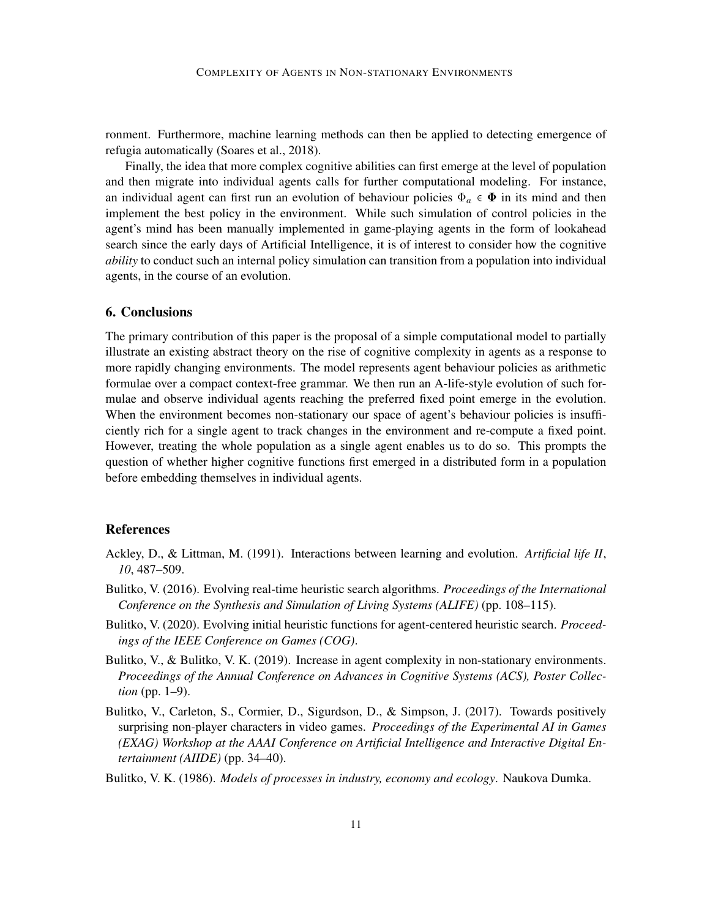ronment. Furthermore, machine learning methods can then be applied to detecting emergence of refugia automatically (Soares et al., 2018).

Finally, the idea that more complex cognitive abilities can first emerge at the level of population and then migrate into individual agents calls for further computational modeling. For instance, an individual agent can first run an evolution of behaviour policies  $\Phi_a \in \Phi$  in its mind and then implement the best policy in the environment. While such simulation of control policies in the agent's mind has been manually implemented in game-playing agents in the form of lookahead search since the early days of Artificial Intelligence, it is of interest to consider how the cognitive *ability* to conduct such an internal policy simulation can transition from a population into individual agents, in the course of an evolution.

# 6. Conclusions

The primary contribution of this paper is the proposal of a simple computational model to partially illustrate an existing abstract theory on the rise of cognitive complexity in agents as a response to more rapidly changing environments. The model represents agent behaviour policies as arithmetic formulae over a compact context-free grammar. We then run an A-life-style evolution of such formulae and observe individual agents reaching the preferred fixed point emerge in the evolution. When the environment becomes non-stationary our space of agent's behaviour policies is insufficiently rich for a single agent to track changes in the environment and re-compute a fixed point. However, treating the whole population as a single agent enables us to do so. This prompts the question of whether higher cognitive functions first emerged in a distributed form in a population before embedding themselves in individual agents.

## References

- Ackley, D., & Littman, M. (1991). Interactions between learning and evolution. *Artificial life II*, *10*, 487–509.
- Bulitko, V. (2016). Evolving real-time heuristic search algorithms. *Proceedings of the International Conference on the Synthesis and Simulation of Living Systems (ALIFE)* (pp. 108–115).
- Bulitko, V. (2020). Evolving initial heuristic functions for agent-centered heuristic search. *Proceedings of the IEEE Conference on Games (COG)*.
- Bulitko, V., & Bulitko, V. K. (2019). Increase in agent complexity in non-stationary environments. *Proceedings of the Annual Conference on Advances in Cognitive Systems (ACS), Poster Collection* (pp. 1–9).
- Bulitko, V., Carleton, S., Cormier, D., Sigurdson, D., & Simpson, J. (2017). Towards positively surprising non-player characters in video games. *Proceedings of the Experimental AI in Games (EXAG) Workshop at the AAAI Conference on Artificial Intelligence and Interactive Digital Entertainment (AIIDE)* (pp. 34–40).
- Bulitko, V. K. (1986). *Models of processes in industry, economy and ecology*. Naukova Dumka.